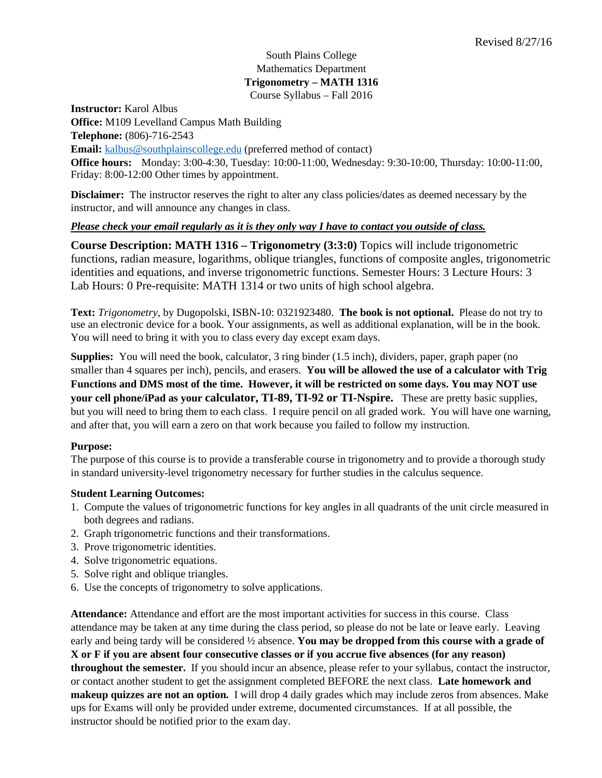### South Plains College Mathematics Department **Trigonometry – MATH 1316** Course Syllabus – Fall 2016

**Instructor:** Karol Albus **Office:** M109 Levelland Campus Math Building **Telephone:** (806)-716-2543 **Email:** [kalbus@southplainscollege.edu](mailto:kalbus@southplainscollege.edu) (preferred method of contact) **Office hours:** Monday: 3:00-4:30, Tuesday: 10:00-11:00, Wednesday: 9:30-10:00, Thursday: 10:00-11:00, Friday: 8:00-12:00 Other times by appointment.

**Disclaimer:** The instructor reserves the right to alter any class policies/dates as deemed necessary by the instructor, and will announce any changes in class.

# *Please check your email regularly as it is they only way I have to contact you outside of class.*

**Course Description: MATH 1316 – Trigonometry (3:3:0)** Topics will include trigonometric functions, radian measure, logarithms, oblique triangles, functions of composite angles, trigonometric identities and equations, and inverse trigonometric functions. Semester Hours: 3 Lecture Hours: 3 Lab Hours: 0 Pre-requisite: MATH 1314 or two units of high school algebra.

**Text:** *Trigonometry*, by Dugopolski, ISBN-10: 0321923480. **The book is not optional.** Please do not try to use an electronic device for a book. Your assignments, as well as additional explanation, will be in the book. You will need to bring it with you to class every day except exam days.

**Supplies:** You will need the book, calculator, 3 ring binder (1.5 inch), dividers, paper, graph paper (no smaller than 4 squares per inch), pencils, and erasers. **You will be allowed the use of a calculator with Trig Functions and DMS most of the time. However, it will be restricted on some days. You may NOT use your cell phone/iPad as your calculator, TI-89, TI-92 or TI-Nspire.** These are pretty basic supplies, but you will need to bring them to each class. I require pencil on all graded work. You will have one warning, and after that, you will earn a zero on that work because you failed to follow my instruction.

## **Purpose:**

The purpose of this course is to provide a transferable course in trigonometry and to provide a thorough study in standard university-level trigonometry necessary for further studies in the calculus sequence.

## **Student Learning Outcomes:**

- 1. Compute the values of trigonometric functions for key angles in all quadrants of the unit circle measured in both degrees and radians.
- 2. Graph trigonometric functions and their transformations.
- 3. Prove trigonometric identities.
- 4. Solve trigonometric equations.
- 5. Solve right and oblique triangles.
- 6. Use the concepts of trigonometry to solve applications.

**Attendance:** Attendance and effort are the most important activities for success in this course. Class attendance may be taken at any time during the class period, so please do not be late or leave early. Leaving early and being tardy will be considered ½ absence. **You may be dropped from this course with a grade of X or F if you are absent four consecutive classes or if you accrue five absences (for any reason) throughout the semester.** If you should incur an absence, please refer to your syllabus, contact the instructor, or contact another student to get the assignment completed BEFORE the next class. **Late homework and makeup quizzes are not an option.** I will drop 4 daily grades which may include zeros from absences. Make ups for Exams will only be provided under extreme, documented circumstances. If at all possible, the instructor should be notified prior to the exam day.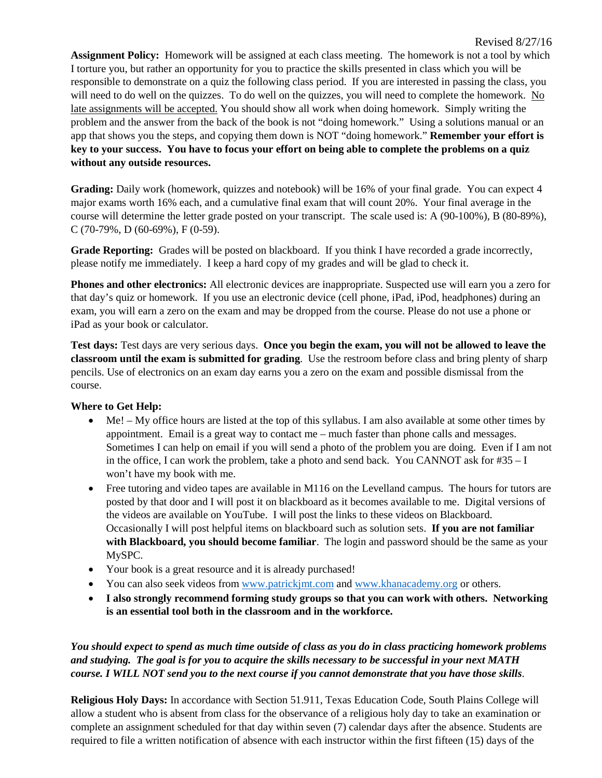**Assignment Policy:** Homework will be assigned at each class meeting. The homework is not a tool by which I torture you, but rather an opportunity for you to practice the skills presented in class which you will be responsible to demonstrate on a quiz the following class period. If you are interested in passing the class, you will need to do well on the quizzes. To do well on the quizzes, you will need to complete the homework. No late assignments will be accepted. You should show all work when doing homework. Simply writing the problem and the answer from the back of the book is not "doing homework." Using a solutions manual or an app that shows you the steps, and copying them down is NOT "doing homework." **Remember your effort is key to your success. You have to focus your effort on being able to complete the problems on a quiz without any outside resources.** 

**Grading:** Daily work (homework, quizzes and notebook) will be 16% of your final grade. You can expect 4 major exams worth 16% each, and a cumulative final exam that will count 20%. Your final average in the course will determine the letter grade posted on your transcript. The scale used is: A (90-100%), B (80-89%), C (70-79%, D (60-69%), F (0-59).

**Grade Reporting:** Grades will be posted on blackboard. If you think I have recorded a grade incorrectly, please notify me immediately. I keep a hard copy of my grades and will be glad to check it.

**Phones and other electronics:** All electronic devices are inappropriate. Suspected use will earn you a zero for that day's quiz or homework. If you use an electronic device (cell phone, iPad, iPod, headphones) during an exam, you will earn a zero on the exam and may be dropped from the course. Please do not use a phone or iPad as your book or calculator.

**Test days:** Test days are very serious days. **Once you begin the exam, you will not be allowed to leave the classroom until the exam is submitted for grading**. Use the restroom before class and bring plenty of sharp pencils. Use of electronics on an exam day earns you a zero on the exam and possible dismissal from the course.

## **Where to Get Help:**

- Me! My office hours are listed at the top of this syllabus. I am also available at some other times by appointment. Email is a great way to contact me – much faster than phone calls and messages. Sometimes I can help on email if you will send a photo of the problem you are doing. Even if I am not in the office, I can work the problem, take a photo and send back. You CANNOT ask for #35 – I won't have my book with me.
- Free tutoring and video tapes are available in M116 on the Levelland campus. The hours for tutors are posted by that door and I will post it on blackboard as it becomes available to me. Digital versions of the videos are available on YouTube. I will post the links to these videos on Blackboard. Occasionally I will post helpful items on blackboard such as solution sets. **If you are not familiar with Blackboard, you should become familiar**. The login and password should be the same as your MySPC.
- Your book is a great resource and it is already purchased!
- You can also seek videos from [www.patrickjmt.com](http://www.patrickjmt.com/) and [www.khanacademy.org](http://www.khanacademy.org/) or others.
- **I also strongly recommend forming study groups so that you can work with others. Networking is an essential tool both in the classroom and in the workforce.**

*You should expect to spend as much time outside of class as you do in class practicing homework problems and studying. The goal is for you to acquire the skills necessary to be successful in your next MATH course. I WILL NOT send you to the next course if you cannot demonstrate that you have those skills*.

**Religious Holy Days:** In accordance with Section 51.911, Texas Education Code, South Plains College will allow a student who is absent from class for the observance of a religious holy day to take an examination or complete an assignment scheduled for that day within seven (7) calendar days after the absence. Students are required to file a written notification of absence with each instructor within the first fifteen (15) days of the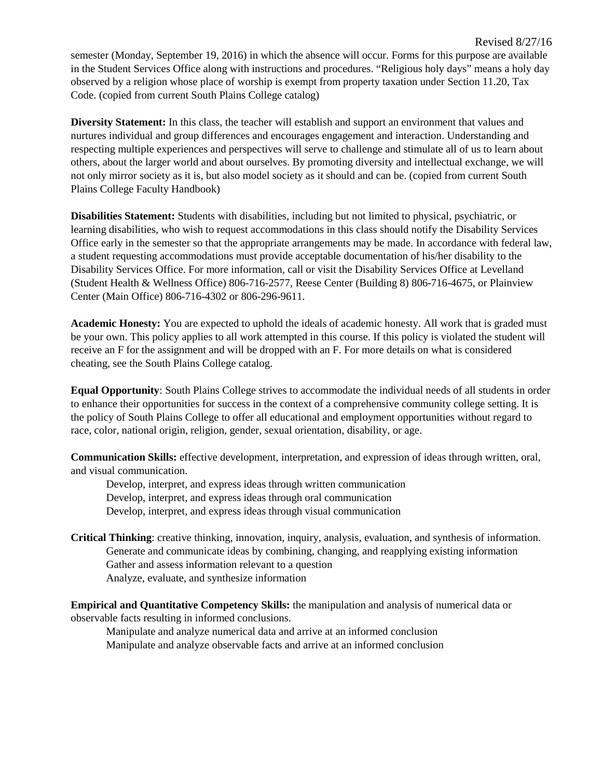**Diversity Statement:** In this class, the teacher will establish and support an environment that values and nurtures individual and group differences and encourages engagement and interaction. Understanding and respecting multiple experiences and perspectives will serve to challenge and stimulate all of us to learn about others, about the larger world and about ourselves. By promoting diversity and intellectual exchange, we will not only mirror society as it is, but also model society as it should and can be. (copied from current South Plains College Faculty Handbook)

**Disabilities Statement:** Students with disabilities, including but not limited to physical, psychiatric, or learning disabilities, who wish to request accommodations in this class should notify the Disability Services Office early in the semester so that the appropriate arrangements may be made. In accordance with federal law, a student requesting accommodations must provide acceptable documentation of his/her disability to the Disability Services Office. For more information, call or visit the Disability Services Office at Levelland (Student Health & Wellness Office) 806-716-2577, Reese Center (Building 8) 806-716-4675, or Plainview Center (Main Office) 806-716-4302 or 806-296-9611.

**Academic Honesty:** You are expected to uphold the ideals of academic honesty. All work that is graded must be your own. This policy applies to all work attempted in this course. If this policy is violated the student will receive an F for the assignment and will be dropped with an F. For more details on what is considered cheating, see the South Plains College catalog.

**Equal Opportunity**: South Plains College strives to accommodate the individual needs of all students in order to enhance their opportunities for success in the context of a comprehensive community college setting. It is the policy of South Plains College to offer all educational and employment opportunities without regard to race, color, national origin, religion, gender, sexual orientation, disability, or age.

**Communication Skills:** effective development, interpretation, and expression of ideas through written, oral, and visual communication.

Develop, interpret, and express ideas through written communication Develop, interpret, and express ideas through oral communication Develop, interpret, and express ideas through visual communication

**Critical Thinking**: creative thinking, innovation, inquiry, analysis, evaluation, and synthesis of information. Generate and communicate ideas by combining, changing, and reapplying existing information Gather and assess information relevant to a question Analyze, evaluate, and synthesize information

**Empirical and Quantitative Competency Skills:** the manipulation and analysis of numerical data or observable facts resulting in informed conclusions.

Manipulate and analyze numerical data and arrive at an informed conclusion Manipulate and analyze observable facts and arrive at an informed conclusion